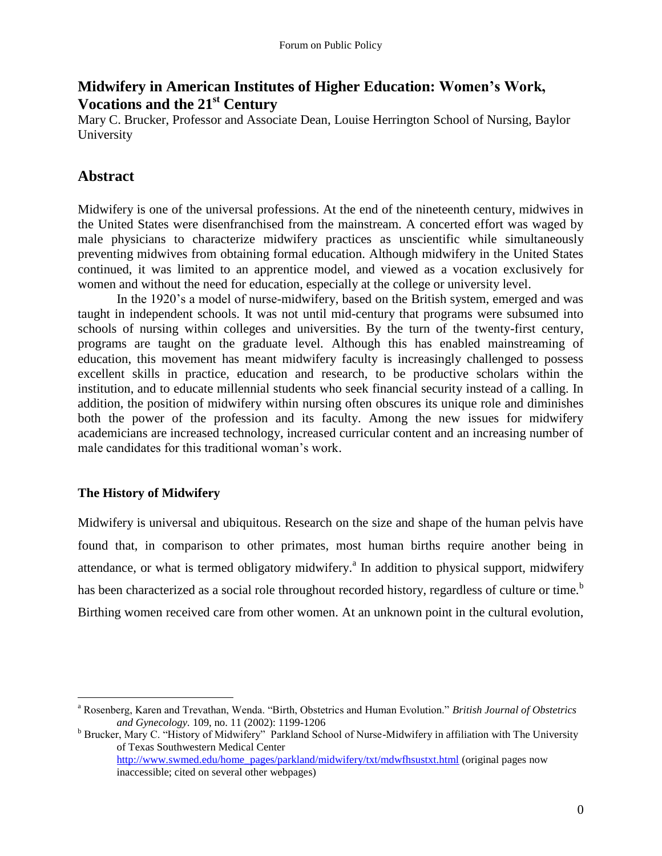## **Midwifery in American Institutes of Higher Education: Women's Work, Vocations and the 21st Century**

Mary C. Brucker, Professor and Associate Dean, Louise Herrington School of Nursing, Baylor University

## **Abstract**

Midwifery is one of the universal professions. At the end of the nineteenth century, midwives in the United States were disenfranchised from the mainstream. A concerted effort was waged by male physicians to characterize midwifery practices as unscientific while simultaneously preventing midwives from obtaining formal education. Although midwifery in the United States continued, it was limited to an apprentice model, and viewed as a vocation exclusively for women and without the need for education, especially at the college or university level.

In the 1920's a model of nurse-midwifery, based on the British system, emerged and was taught in independent schools. It was not until mid-century that programs were subsumed into schools of nursing within colleges and universities. By the turn of the twenty-first century, programs are taught on the graduate level. Although this has enabled mainstreaming of education, this movement has meant midwifery faculty is increasingly challenged to possess excellent skills in practice, education and research, to be productive scholars within the institution, and to educate millennial students who seek financial security instead of a calling. In addition, the position of midwifery within nursing often obscures its unique role and diminishes both the power of the profession and its faculty. Among the new issues for midwifery academicians are increased technology, increased curricular content and an increasing number of male candidates for this traditional woman's work.

### **The History of Midwifery**

 $\overline{a}$ 

Midwifery is universal and ubiquitous. Research on the size and shape of the human pelvis have found that, in comparison to other primates, most human births require another being in attendance, or what is termed obligatory midwifery.<sup>a</sup> In addition to physical support, midwifery has been characterized as a social role throughout recorded history, regardless of culture or time.<sup>b</sup> Birthing women received care from other women. At an unknown point in the cultural evolution,

<sup>a</sup> Rosenberg, Karen and Trevathan, Wenda. "Birth, Obstetrics and Human Evolution." *British Journal of Obstetrics and Gynecology.* 109, no. 11 (2002): 1199-1206

<sup>&</sup>lt;sup>b</sup> Brucker, Mary C. "History of Midwifery" Parkland School of Nurse-Midwifery in affiliation with The University of Texas Southwestern Medical Center [http://www.swmed.edu/home\\_pages/parkland/midwifery/txt/mdwfhsustxt.html](http://www.swmed.edu/home_pages/parkland/midwifery/txt/mdwfhsustxt.html) (original pages now inaccessible; cited on several other webpages)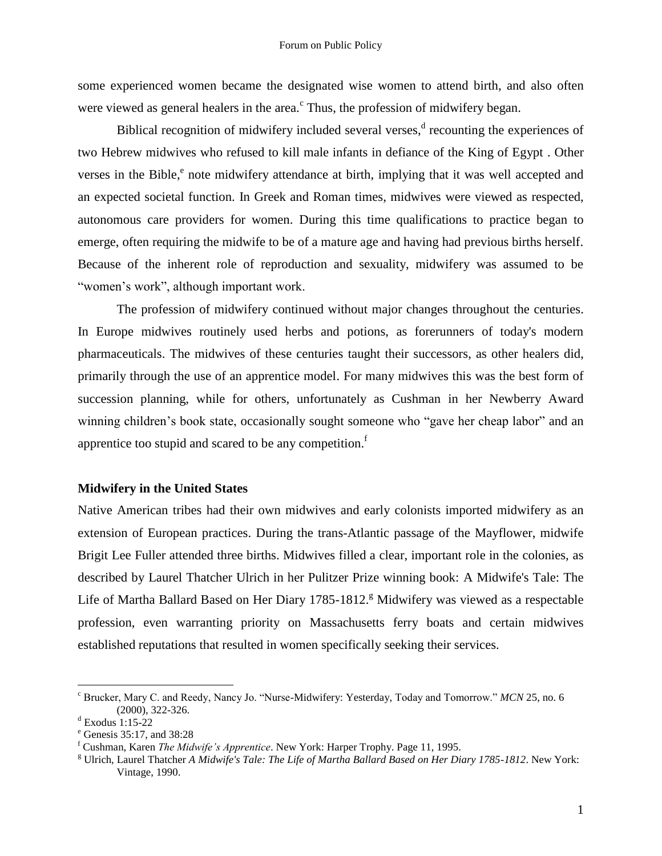some experienced women became the designated wise women to attend birth, and also often were viewed as general healers in the area. $\degree$  Thus, the profession of midwifery began.

Biblical recognition of midwifery included several verses, $\alpha$  recounting the experiences of two Hebrew midwives who refused to kill male infants in defiance of the King of Egypt . Other verses in the Bible,<sup>e</sup> note midwifery attendance at birth, implying that it was well accepted and an expected societal function. In Greek and Roman times, midwives were viewed as respected, autonomous care providers for women. During this time qualifications to practice began to emerge, often requiring the midwife to be of a mature age and having had previous births herself. Because of the inherent role of reproduction and sexuality, midwifery was assumed to be "women"s work", although important work.

The profession of midwifery continued without major changes throughout the centuries. In Europe midwives routinely used herbs and potions, as forerunners of today's modern pharmaceuticals. The midwives of these centuries taught their successors, as other healers did, primarily through the use of an apprentice model. For many midwives this was the best form of succession planning, while for others, unfortunately as Cushman in her Newberry Award winning children"s book state, occasionally sought someone who "gave her cheap labor" and an apprentice too stupid and scared to be any competition.<sup>f</sup>

#### **Midwifery in the United States**

Native American tribes had their own midwives and early colonists imported midwifery as an extension of European practices. During the trans-Atlantic passage of the Mayflower, midwife Brigit Lee Fuller attended three births. Midwives filled a clear, important role in the colonies, as described by Laurel Thatcher Ulrich in her Pulitzer Prize winning book: A Midwife's Tale: The Life of Martha Ballard Based on Her Diary 1785-1812.<sup>g</sup> Midwifery was viewed as a respectable profession, even warranting priority on Massachusetts ferry boats and certain midwives established reputations that resulted in women specifically seeking their services.

<sup>c</sup> Brucker, Mary C. and Reedy, Nancy Jo. "Nurse-Midwifery: Yesterday, Today and Tomorrow." *MCN* 25, no. 6 (2000), 322-326.

 $d$  Exodus 1:15-22

<sup>e</sup> Genesis 35:17, and 38:28

<sup>f</sup> Cushman, Karen *The Midwife's Apprentice*. New York: Harper Trophy. Page 11, 1995.

<sup>g</sup> Ulrich, Laurel Thatcher *A Midwife's Tale: The Life of Martha Ballard Based on Her Diary 1785-1812*. New York: Vintage, 1990.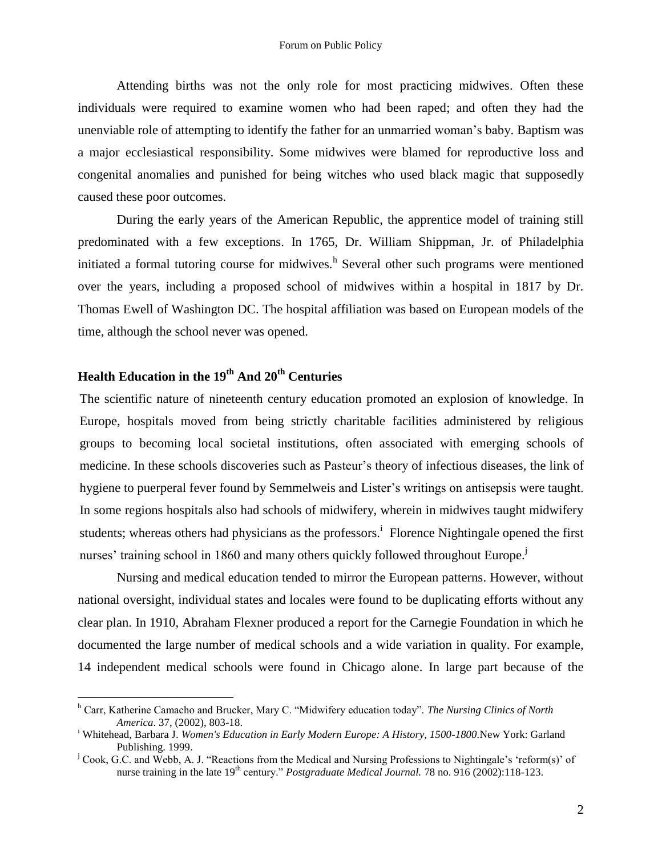Attending births was not the only role for most practicing midwives. Often these individuals were required to examine women who had been raped; and often they had the unenviable role of attempting to identify the father for an unmarried woman"s baby. Baptism was a major ecclesiastical responsibility. Some midwives were blamed for reproductive loss and congenital anomalies and punished for being witches who used black magic that supposedly caused these poor outcomes.

During the early years of the American Republic, the apprentice model of training still predominated with a few exceptions. In 1765, Dr. William Shippman, Jr. of Philadelphia initiated a formal tutoring course for midwives.<sup>h</sup> Several other such programs were mentioned over the years, including a proposed school of midwives within a hospital in 1817 by Dr. Thomas Ewell of Washington DC. The hospital affiliation was based on European models of the time, although the school never was opened.

# **Health Education in the 19th And 20th Centuries**

 $\overline{a}$ 

The scientific nature of nineteenth century education promoted an explosion of knowledge. In Europe, hospitals moved from being strictly charitable facilities administered by religious groups to becoming local societal institutions, often associated with emerging schools of medicine. In these schools discoveries such as Pasteur"s theory of infectious diseases, the link of hygiene to puerperal fever found by Semmelweis and Lister's writings on antisepsis were taught. In some regions hospitals also had schools of midwifery, wherein in midwives taught midwifery students; whereas others had physicians as the professors.<sup>i</sup> Florence Nightingale opened the first nurses' training school in 1860 and many others quickly followed throughout Europe.<sup>j</sup>

Nursing and medical education tended to mirror the European patterns. However, without national oversight, individual states and locales were found to be duplicating efforts without any clear plan. In 1910, Abraham Flexner produced a report for the Carnegie Foundation in which he documented the large number of medical schools and a wide variation in quality. For example, 14 independent medical schools were found in Chicago alone. In large part because of the

<sup>h</sup> Carr, Katherine Camacho and Brucker, Mary C. "Midwifery education today". *The Nursing Clinics of North America*. 37, (2002), 803-18.

<sup>i</sup> Whitehead, Barbara J. *Women's Education in Early Modern Europe: A History, 1500-1800.*New York: Garland Publishing. 1999.

<sup>&</sup>lt;sup>j</sup> Cook, G.C. and Webb, A. J. "Reactions from the Medical and Nursing Professions to Nightingale's 'reform(s)' of nurse training in the late 19<sup>th</sup> century." *Postgraduate Medical Journal.* 78 no. 916 (2002):118-123.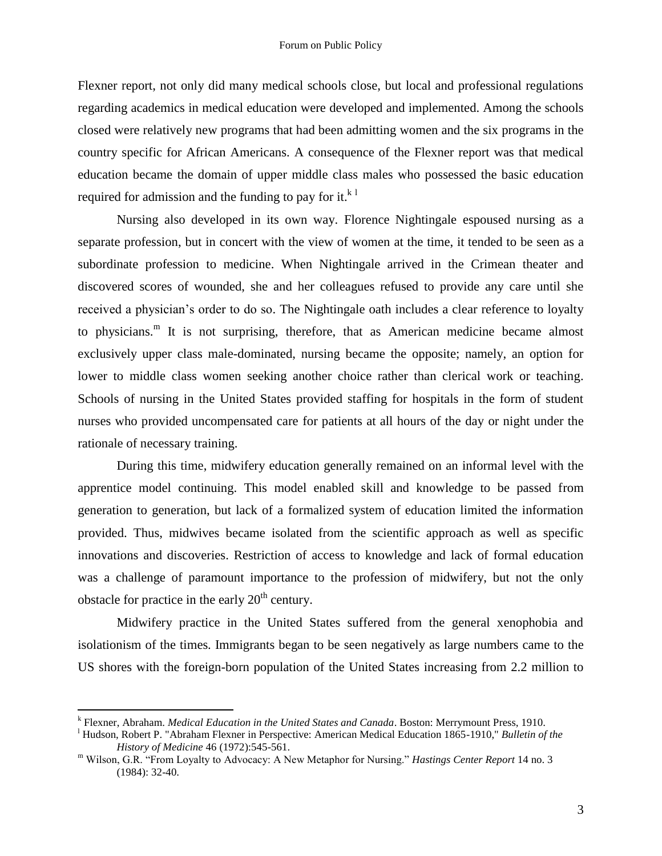Flexner report, not only did many medical schools close, but local and professional regulations regarding academics in medical education were developed and implemented. Among the schools closed were relatively new programs that had been admitting women and the six programs in the country specific for African Americans. A consequence of the Flexner report was that medical education became the domain of upper middle class males who possessed the basic education required for admission and the funding to pay for it. $k<sup>1</sup>$ 

Nursing also developed in its own way. Florence Nightingale espoused nursing as a separate profession, but in concert with the view of women at the time, it tended to be seen as a subordinate profession to medicine. When Nightingale arrived in the Crimean theater and discovered scores of wounded, she and her colleagues refused to provide any care until she received a physician"s order to do so. The Nightingale oath includes a clear reference to loyalty to physicians.<sup>m</sup> It is not surprising, therefore, that as American medicine became almost exclusively upper class male-dominated, nursing became the opposite; namely, an option for lower to middle class women seeking another choice rather than clerical work or teaching. Schools of nursing in the United States provided staffing for hospitals in the form of student nurses who provided uncompensated care for patients at all hours of the day or night under the rationale of necessary training.

During this time, midwifery education generally remained on an informal level with the apprentice model continuing. This model enabled skill and knowledge to be passed from generation to generation, but lack of a formalized system of education limited the information provided. Thus, midwives became isolated from the scientific approach as well as specific innovations and discoveries. Restriction of access to knowledge and lack of formal education was a challenge of paramount importance to the profession of midwifery, but not the only obstacle for practice in the early  $20<sup>th</sup>$  century.

Midwifery practice in the United States suffered from the general xenophobia and isolationism of the times. Immigrants began to be seen negatively as large numbers came to the US shores with the foreign-born population of the United States increasing from 2.2 million to

k Flexner, Abraham. *Medical Education in the United States and Canada*. Boston: Merrymount Press, 1910.

<sup>l</sup> Hudson, Robert P. "Abraham Flexner in Perspective: American Medical Education 1865-1910," *Bulletin of the History of Medicine* 46 (1972):545-561.

<sup>m</sup> Wilson, G.R. "From Loyalty to Advocacy: A New Metaphor for Nursing." *Hastings Center Report* 14 no. 3 (1984): 32-40.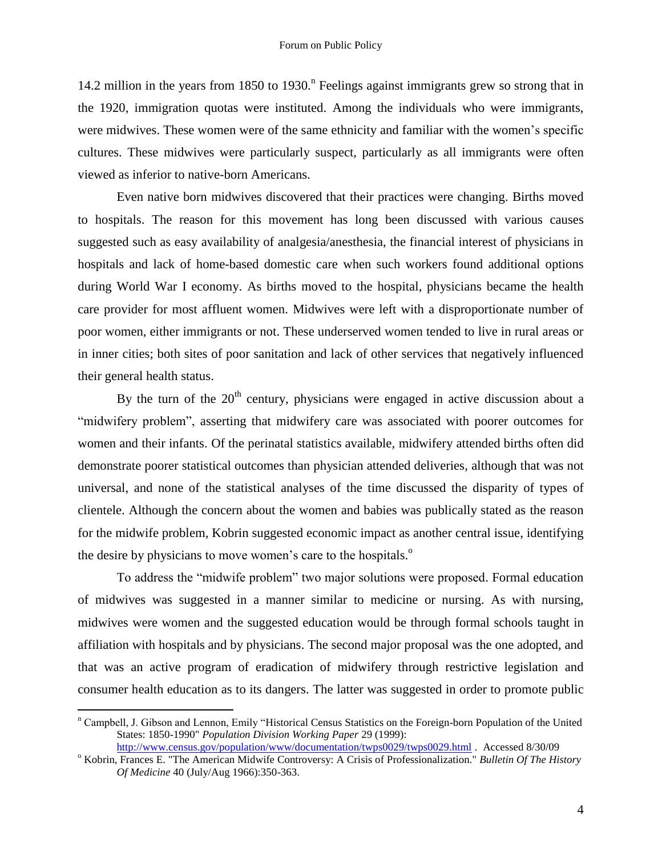14.2 million in the years from 1850 to 1930.<sup>n</sup> Feelings against immigrants grew so strong that in the 1920, immigration quotas were instituted. Among the individuals who were immigrants, were midwives. These women were of the same ethnicity and familiar with the women"s specific cultures. These midwives were particularly suspect, particularly as all immigrants were often viewed as inferior to native-born Americans.

Even native born midwives discovered that their practices were changing. Births moved to hospitals. The reason for this movement has long been discussed with various causes suggested such as easy availability of analgesia/anesthesia, the financial interest of physicians in hospitals and lack of home-based domestic care when such workers found additional options during World War I economy. As births moved to the hospital, physicians became the health care provider for most affluent women. Midwives were left with a disproportionate number of poor women, either immigrants or not. These underserved women tended to live in rural areas or in inner cities; both sites of poor sanitation and lack of other services that negatively influenced their general health status.

By the turn of the  $20<sup>th</sup>$  century, physicians were engaged in active discussion about a "midwifery problem", asserting that midwifery care was associated with poorer outcomes for women and their infants. Of the perinatal statistics available, midwifery attended births often did demonstrate poorer statistical outcomes than physician attended deliveries, although that was not universal, and none of the statistical analyses of the time discussed the disparity of types of clientele. Although the concern about the women and babies was publically stated as the reason for the midwife problem, Kobrin suggested economic impact as another central issue, identifying the desire by physicians to move women's care to the hospitals.<sup>o</sup>

To address the "midwife problem" two major solutions were proposed. Formal education of midwives was suggested in a manner similar to medicine or nursing. As with nursing, midwives were women and the suggested education would be through formal schools taught in affiliation with hospitals and by physicians. The second major proposal was the one adopted, and that was an active program of eradication of midwifery through restrictive legislation and consumer health education as to its dangers. The latter was suggested in order to promote public

<sup>n</sup> Campbell, J. Gibson and Lennon, Emily "Historical Census Statistics on the Foreign-born Population of the United States: 1850-1990" *Population Division Working Paper* 29 (1999): <http://www.census.gov/population/www/documentation/twps0029/twps0029.html> . Accessed 8/30/09

<sup>o</sup> Kobrin, Frances E. "The American Midwife Controversy: A Crisis of Professionalization." *Bulletin Of The History* 

*Of Medicine* 40 (July/Aug 1966):350-363.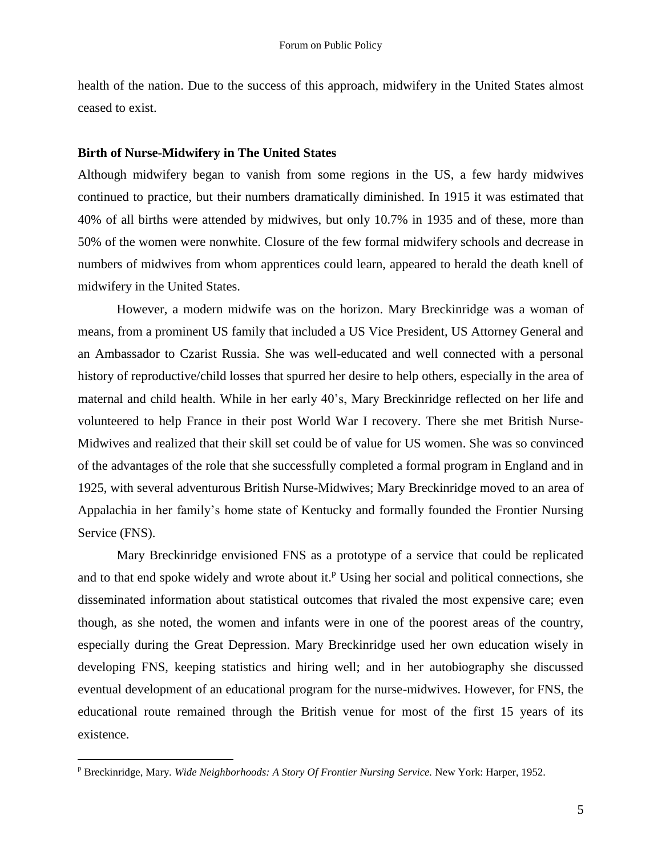health of the nation. Due to the success of this approach, midwifery in the United States almost ceased to exist.

#### **Birth of Nurse-Midwifery in The United States**

Although midwifery began to vanish from some regions in the US, a few hardy midwives continued to practice, but their numbers dramatically diminished. In 1915 it was estimated that 40% of all births were attended by midwives, but only 10.7% in 1935 and of these, more than 50% of the women were nonwhite. Closure of the few formal midwifery schools and decrease in numbers of midwives from whom apprentices could learn, appeared to herald the death knell of midwifery in the United States.

However, a modern midwife was on the horizon. Mary Breckinridge was a woman of means, from a prominent US family that included a US Vice President, US Attorney General and an Ambassador to Czarist Russia. She was well-educated and well connected with a personal history of reproductive/child losses that spurred her desire to help others, especially in the area of maternal and child health. While in her early 40"s, Mary Breckinridge reflected on her life and volunteered to help France in their post World War I recovery. There she met British Nurse-Midwives and realized that their skill set could be of value for US women. She was so convinced of the advantages of the role that she successfully completed a formal program in England and in 1925, with several adventurous British Nurse-Midwives; Mary Breckinridge moved to an area of Appalachia in her family"s home state of Kentucky and formally founded the Frontier Nursing Service (FNS).

Mary Breckinridge envisioned FNS as a prototype of a service that could be replicated and to that end spoke widely and wrote about it.<sup>P</sup> Using her social and political connections, she disseminated information about statistical outcomes that rivaled the most expensive care; even though, as she noted, the women and infants were in one of the poorest areas of the country, especially during the Great Depression. Mary Breckinridge used her own education wisely in developing FNS, keeping statistics and hiring well; and in her autobiography she discussed eventual development of an educational program for the nurse-midwives. However, for FNS, the educational route remained through the British venue for most of the first 15 years of its existence.

<sup>p</sup> Breckinridge, Mary. *Wide Neighborhoods: A Story Of Frontier Nursing Service.* New York: Harper, 1952.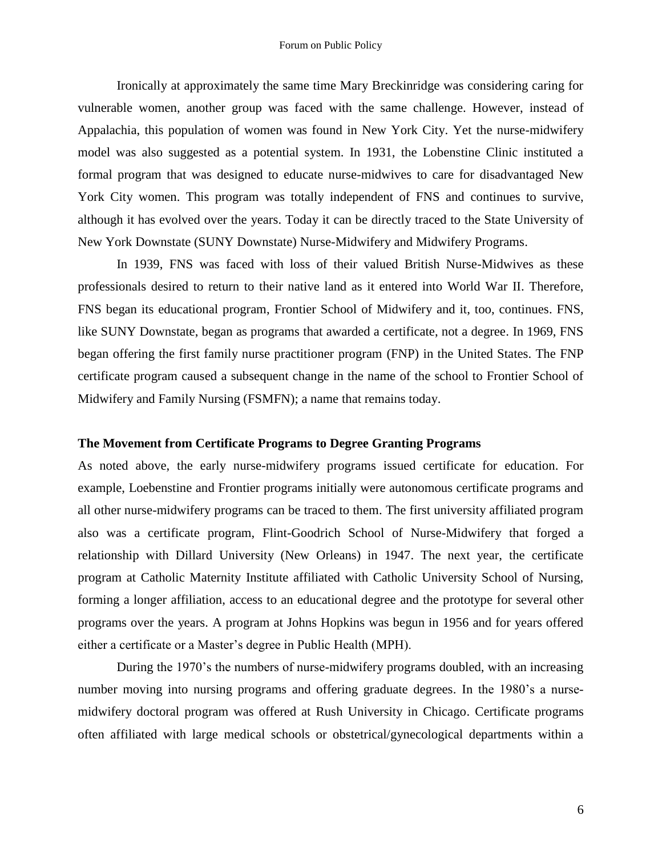Ironically at approximately the same time Mary Breckinridge was considering caring for vulnerable women, another group was faced with the same challenge. However, instead of Appalachia, this population of women was found in New York City. Yet the nurse-midwifery model was also suggested as a potential system. In 1931, the Lobenstine Clinic instituted a formal program that was designed to educate nurse-midwives to care for disadvantaged New York City women. This program was totally independent of FNS and continues to survive, although it has evolved over the years. Today it can be directly traced to the State University of New York Downstate (SUNY Downstate) Nurse-Midwifery and Midwifery Programs.

In 1939, FNS was faced with loss of their valued British Nurse-Midwives as these professionals desired to return to their native land as it entered into World War II. Therefore, FNS began its educational program, Frontier School of Midwifery and it, too, continues. FNS, like SUNY Downstate, began as programs that awarded a certificate, not a degree. In 1969, FNS began offering the first family nurse practitioner program (FNP) in the United States. The FNP certificate program caused a subsequent change in the name of the school to Frontier School of Midwifery and Family Nursing (FSMFN); a name that remains today.

#### **The Movement from Certificate Programs to Degree Granting Programs**

As noted above, the early nurse-midwifery programs issued certificate for education. For example, Loebenstine and Frontier programs initially were autonomous certificate programs and all other nurse-midwifery programs can be traced to them. The first university affiliated program also was a certificate program, Flint-Goodrich School of Nurse-Midwifery that forged a relationship with Dillard University (New Orleans) in 1947. The next year, the certificate program at Catholic Maternity Institute affiliated with Catholic University School of Nursing, forming a longer affiliation, access to an educational degree and the prototype for several other programs over the years. A program at Johns Hopkins was begun in 1956 and for years offered either a certificate or a Master's degree in Public Health (MPH).

During the 1970"s the numbers of nurse-midwifery programs doubled, with an increasing number moving into nursing programs and offering graduate degrees. In the 1980"s a nursemidwifery doctoral program was offered at Rush University in Chicago. Certificate programs often affiliated with large medical schools or obstetrical/gynecological departments within a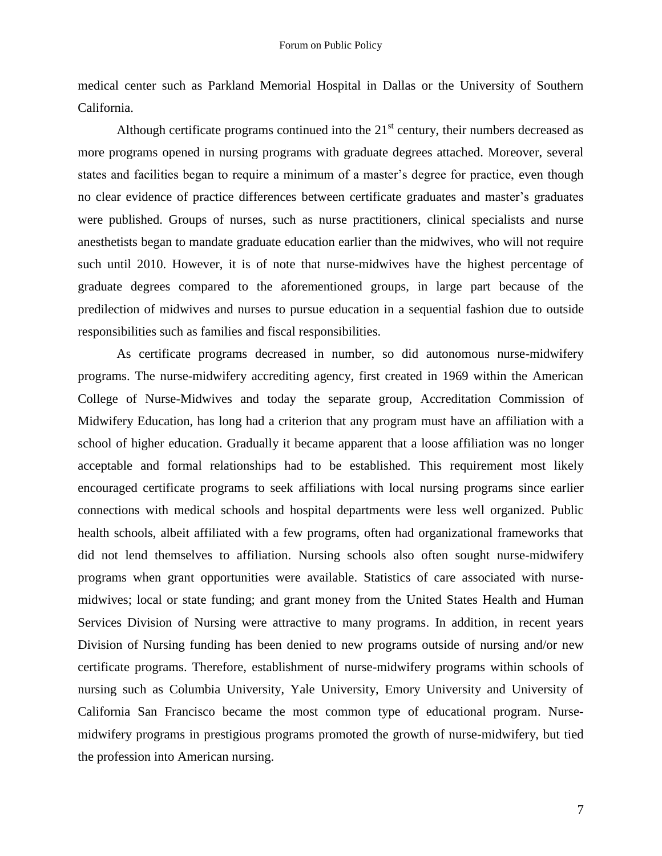medical center such as Parkland Memorial Hospital in Dallas or the University of Southern California.

Although certificate programs continued into the  $21<sup>st</sup>$  century, their numbers decreased as more programs opened in nursing programs with graduate degrees attached. Moreover, several states and facilities began to require a minimum of a master's degree for practice, even though no clear evidence of practice differences between certificate graduates and master"s graduates were published. Groups of nurses, such as nurse practitioners, clinical specialists and nurse anesthetists began to mandate graduate education earlier than the midwives, who will not require such until 2010. However, it is of note that nurse-midwives have the highest percentage of graduate degrees compared to the aforementioned groups, in large part because of the predilection of midwives and nurses to pursue education in a sequential fashion due to outside responsibilities such as families and fiscal responsibilities.

As certificate programs decreased in number, so did autonomous nurse-midwifery programs. The nurse-midwifery accrediting agency, first created in 1969 within the American College of Nurse-Midwives and today the separate group, Accreditation Commission of Midwifery Education, has long had a criterion that any program must have an affiliation with a school of higher education. Gradually it became apparent that a loose affiliation was no longer acceptable and formal relationships had to be established. This requirement most likely encouraged certificate programs to seek affiliations with local nursing programs since earlier connections with medical schools and hospital departments were less well organized. Public health schools, albeit affiliated with a few programs, often had organizational frameworks that did not lend themselves to affiliation. Nursing schools also often sought nurse-midwifery programs when grant opportunities were available. Statistics of care associated with nursemidwives; local or state funding; and grant money from the United States Health and Human Services Division of Nursing were attractive to many programs. In addition, in recent years Division of Nursing funding has been denied to new programs outside of nursing and/or new certificate programs. Therefore, establishment of nurse-midwifery programs within schools of nursing such as Columbia University, Yale University, Emory University and University of California San Francisco became the most common type of educational program. Nursemidwifery programs in prestigious programs promoted the growth of nurse-midwifery, but tied the profession into American nursing.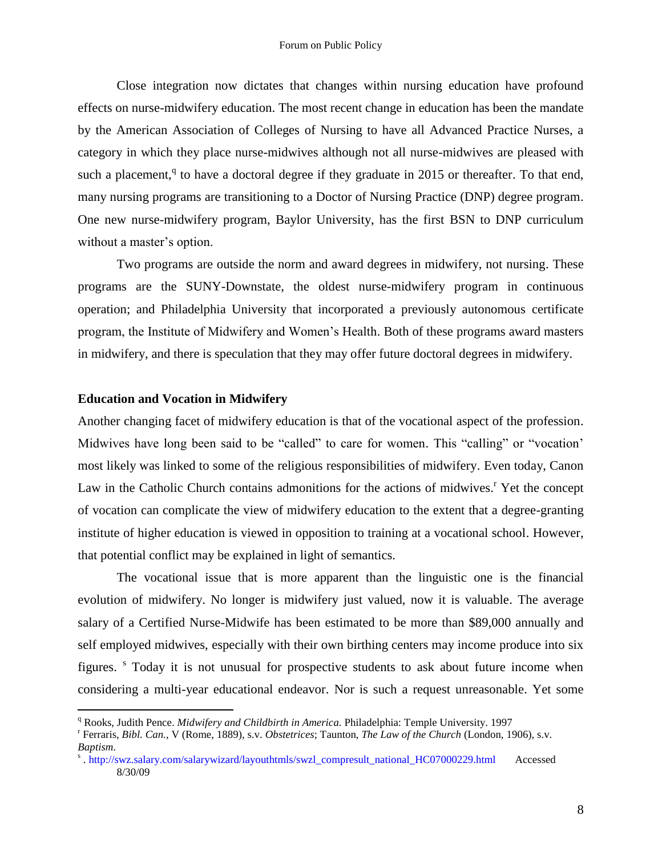Close integration now dictates that changes within nursing education have profound effects on nurse-midwifery education. The most recent change in education has been the mandate by the American Association of Colleges of Nursing to have all Advanced Practice Nurses, a category in which they place nurse-midwives although not all nurse-midwives are pleased with such a placement,<sup>q</sup> to have a doctoral degree if they graduate in 2015 or thereafter. To that end, many nursing programs are transitioning to a Doctor of Nursing Practice (DNP) degree program. One new nurse-midwifery program, Baylor University, has the first BSN to DNP curriculum without a master's option.

Two programs are outside the norm and award degrees in midwifery, not nursing. These programs are the SUNY-Downstate, the oldest nurse-midwifery program in continuous operation; and Philadelphia University that incorporated a previously autonomous certificate program, the Institute of Midwifery and Women"s Health. Both of these programs award masters in midwifery, and there is speculation that they may offer future doctoral degrees in midwifery.

#### **Education and Vocation in Midwifery**

 $\overline{a}$ 

Another changing facet of midwifery education is that of the vocational aspect of the profession. Midwives have long been said to be "called" to care for women. This "calling" or "vocation" most likely was linked to some of the religious responsibilities of midwifery. Even today, Canon Law in the Catholic Church contains admonitions for the actions of midwives.<sup>r</sup> Yet the concept of vocation can complicate the view of midwifery education to the extent that a degree-granting institute of higher education is viewed in opposition to training at a vocational school. However, that potential conflict may be explained in light of semantics.

The vocational issue that is more apparent than the linguistic one is the financial evolution of midwifery. No longer is midwifery just valued, now it is valuable. The average salary of a Certified Nurse-Midwife has been estimated to be more than \$89,000 annually and self employed midwives, especially with their own birthing centers may income produce into six figures. <sup>s</sup> Today it is not unusual for prospective students to ask about future income when considering a multi-year educational endeavor. Nor is such a request unreasonable. Yet some

<sup>q</sup> Rooks, Judith Pence. *Midwifery and Childbirth in America.* Philadelphia: Temple University. 1997

r Ferraris, *Bibl. Can.*, V (Rome, 1889), s.v. *Obstetrices*; Taunton, *The Law of the Church* (London, 1906), s.v. *Baptism*.

s . http://swz.salary.com/salarywizard/layouthtmls/swzl\_compresult\_national\_HC07000229.html Accessed 8/30/09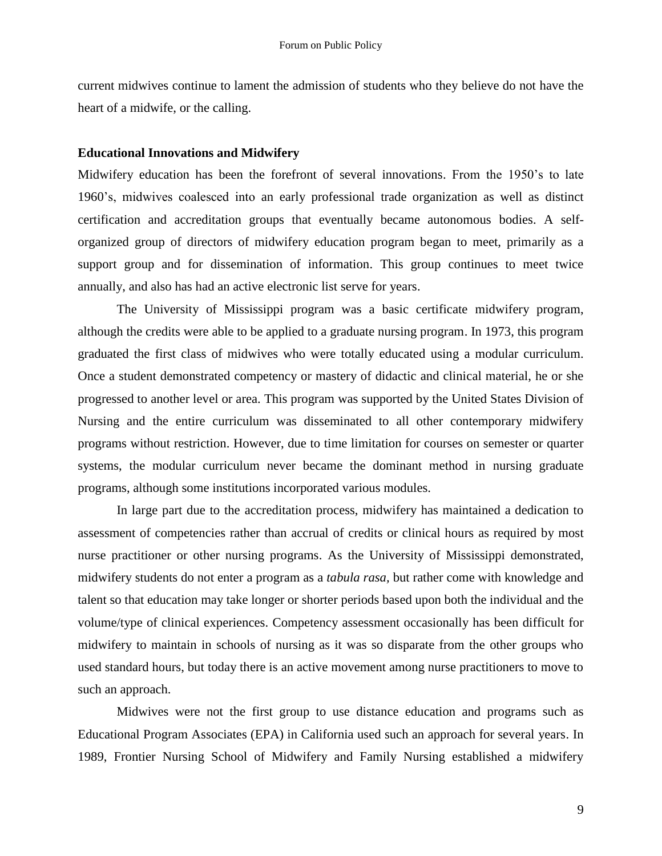current midwives continue to lament the admission of students who they believe do not have the heart of a midwife, or the calling.

#### **Educational Innovations and Midwifery**

Midwifery education has been the forefront of several innovations. From the 1950"s to late 1960"s, midwives coalesced into an early professional trade organization as well as distinct certification and accreditation groups that eventually became autonomous bodies. A selforganized group of directors of midwifery education program began to meet, primarily as a support group and for dissemination of information. This group continues to meet twice annually, and also has had an active electronic list serve for years.

The University of Mississippi program was a basic certificate midwifery program, although the credits were able to be applied to a graduate nursing program. In 1973, this program graduated the first class of midwives who were totally educated using a modular curriculum. Once a student demonstrated competency or mastery of didactic and clinical material, he or she progressed to another level or area. This program was supported by the United States Division of Nursing and the entire curriculum was disseminated to all other contemporary midwifery programs without restriction. However, due to time limitation for courses on semester or quarter systems, the modular curriculum never became the dominant method in nursing graduate programs, although some institutions incorporated various modules.

In large part due to the accreditation process, midwifery has maintained a dedication to assessment of competencies rather than accrual of credits or clinical hours as required by most nurse practitioner or other nursing programs. As the University of Mississippi demonstrated, midwifery students do not enter a program as a *tabula rasa,* but rather come with knowledge and talent so that education may take longer or shorter periods based upon both the individual and the volume/type of clinical experiences. Competency assessment occasionally has been difficult for midwifery to maintain in schools of nursing as it was so disparate from the other groups who used standard hours, but today there is an active movement among nurse practitioners to move to such an approach.

Midwives were not the first group to use distance education and programs such as Educational Program Associates (EPA) in California used such an approach for several years. In 1989, Frontier Nursing School of Midwifery and Family Nursing established a midwifery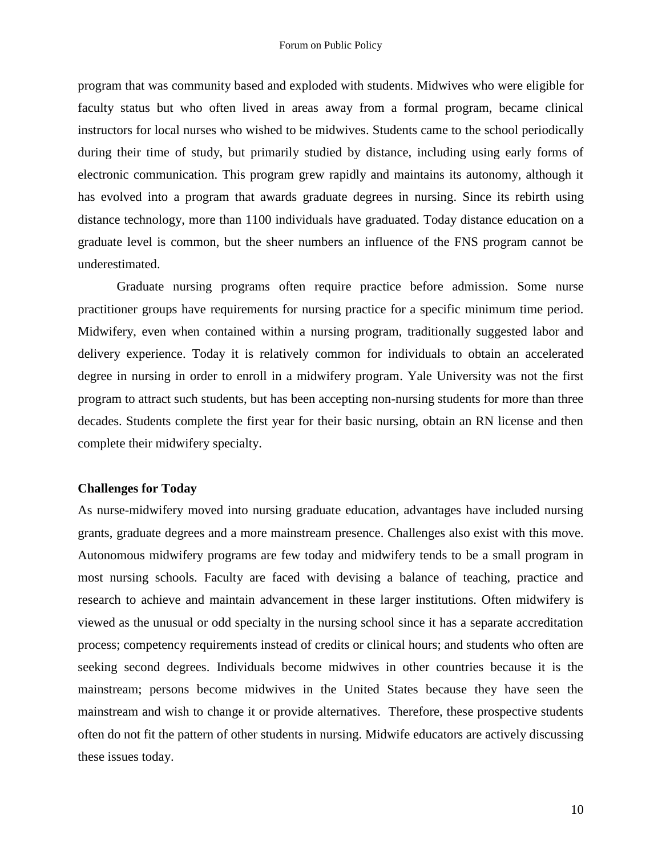program that was community based and exploded with students. Midwives who were eligible for faculty status but who often lived in areas away from a formal program, became clinical instructors for local nurses who wished to be midwives. Students came to the school periodically during their time of study, but primarily studied by distance, including using early forms of electronic communication. This program grew rapidly and maintains its autonomy, although it has evolved into a program that awards graduate degrees in nursing. Since its rebirth using distance technology, more than 1100 individuals have graduated. Today distance education on a graduate level is common, but the sheer numbers an influence of the FNS program cannot be underestimated.

Graduate nursing programs often require practice before admission. Some nurse practitioner groups have requirements for nursing practice for a specific minimum time period. Midwifery, even when contained within a nursing program, traditionally suggested labor and delivery experience. Today it is relatively common for individuals to obtain an accelerated degree in nursing in order to enroll in a midwifery program. Yale University was not the first program to attract such students, but has been accepting non-nursing students for more than three decades. Students complete the first year for their basic nursing, obtain an RN license and then complete their midwifery specialty.

#### **Challenges for Today**

As nurse-midwifery moved into nursing graduate education, advantages have included nursing grants, graduate degrees and a more mainstream presence. Challenges also exist with this move. Autonomous midwifery programs are few today and midwifery tends to be a small program in most nursing schools. Faculty are faced with devising a balance of teaching, practice and research to achieve and maintain advancement in these larger institutions. Often midwifery is viewed as the unusual or odd specialty in the nursing school since it has a separate accreditation process; competency requirements instead of credits or clinical hours; and students who often are seeking second degrees. Individuals become midwives in other countries because it is the mainstream; persons become midwives in the United States because they have seen the mainstream and wish to change it or provide alternatives. Therefore, these prospective students often do not fit the pattern of other students in nursing. Midwife educators are actively discussing these issues today.